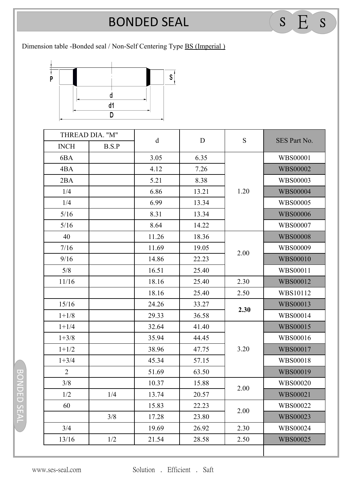## **BONDED SEAL** BONDED SEAL <sup>S</sup> E <sup>S</sup>

## Dimension table -Bonded seal / Non-Self Centering Type BS (Imperial )



| THREAD DIA. "M" |       |             |             | ${\bf S}$ |                 |
|-----------------|-------|-------------|-------------|-----------|-----------------|
| <b>INCH</b>     | B.S.P | $\mathbf d$ | $\mathbf D$ |           | SES Part No.    |
| 6BA             |       | 3.05        | 6.35        | 1.20      | <b>WBS00001</b> |
| 4BA             |       | 4.12        | 7.26        |           | <b>WBS00002</b> |
| 2BA             |       | 5.21        | 8.38        |           | <b>WBS00003</b> |
| 1/4             |       | 6.86        | 13.21       |           | <b>WBS00004</b> |
| 1/4             |       | 6.99        | 13.34       |           | <b>WBS00005</b> |
| $5/16$          |       | 8.31        | 13.34       |           | <b>WBS00006</b> |
| $5/16$          |       | 8.64        | 14.22       |           | WBS00007        |
| 40              |       | 11.26       | 18.36       | 2.00      | <b>WBS00008</b> |
| 7/16            |       | 11.69       | 19.05       |           | WBS00009        |
| 9/16            |       | 14.86       | 22.23       |           | <b>WBS00010</b> |
| 5/8             |       | 16.51       | 25.40       |           | WBS00011        |
| 11/16           |       | 18.16       | 25.40       | 2.30      | <b>WBS00012</b> |
|                 |       | 18.16       | 25.40       | 2.50      | WBS10112        |
| 15/16           |       | 24.26       | 33.27       | 2.30      | <b>WBS00013</b> |
| $1 + 1/8$       |       | 29.33       | 36.58       |           | WBS00014        |
| $1 + 1/4$       |       | 32.64       | 41.40       | 3.20      | <b>WBS00015</b> |
| $1 + 3/8$       |       | 35.94       | 44.45       |           | WBS00016        |
| $1 + 1/2$       |       | 38.96       | 47.75       |           | <b>WBS00017</b> |
| $1 + 3/4$       |       | 45.34       | 57.15       |           | <b>WBS00018</b> |
| $\overline{2}$  |       | 51.69       | 63.50       |           | <b>WBS00019</b> |
| 3/8             |       | 10.37       | 15.88       | 2.00      | WBS00020        |
| 1/2             | 1/4   | 13.74       | 20.57       |           | <b>WBS00021</b> |
| 60              |       | 15.83       | 22.23       | 2.00      | WBS00022        |
|                 | 3/8   | 17.28       | 23.80       |           | <b>WBS00023</b> |
| 3/4             |       | 19.69       | 26.92       | 2.30      | WBS00024        |
| 13/16           | 1/2   | 21.54       | 28.58       | 2.50      | <b>WBS00025</b> |

BONDED SEAL BONDED SEAL